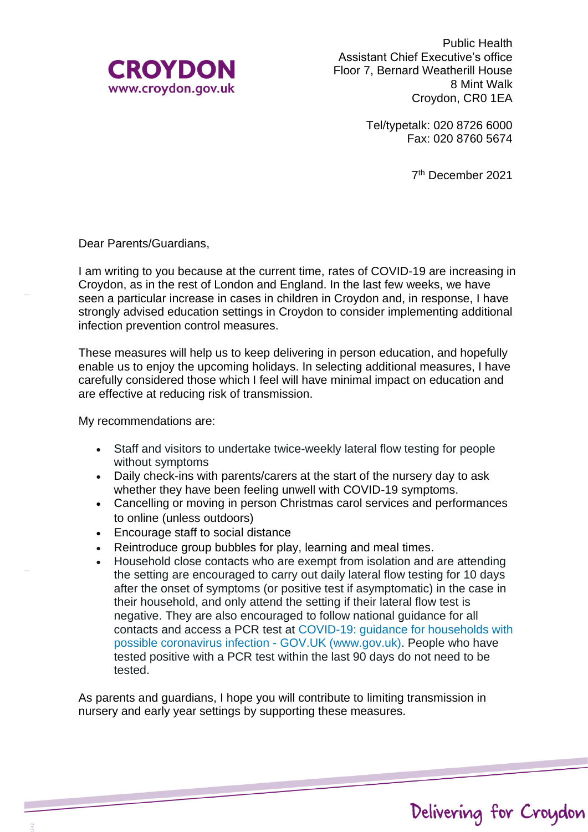

Public Health Assistant Chief Executive's office Floor 7, Bernard Weatherill House 8 Mint Walk Croydon, CR0 1EA

> Tel/typetalk: 020 8726 6000 Fax: 020 8760 5674

> > 7 th December 2021

Dear Parents/Guardians,

I am writing to you because at the current time, rates of COVID-19 are increasing in Croydon, as in the rest of London and England. In the last few weeks, we have seen a particular increase in cases in children in Croydon and, in response, I have strongly advised education settings in Croydon to consider implementing additional infection prevention control measures.

These measures will help us to keep delivering in person education, and hopefully enable us to enjoy the upcoming holidays. In selecting additional measures, I have carefully considered those which I feel will have minimal impact on education and are effective at reducing risk of transmission.

My recommendations are:

- Staff and visitors to undertake twice-weekly lateral flow testing for people without symptoms
- Daily check-ins with parents/carers at the start of the nursery day to ask whether they have been feeling unwell with COVID-19 symptoms.
- Cancelling or moving in person Christmas carol services and performances to online (unless outdoors)
- Encourage staff to social distance
- Reintroduce group bubbles for play, learning and meal times.
- Household close contacts who are exempt from isolation and are attending the setting are encouraged to carry out daily lateral flow testing for 10 days after the onset of symptoms (or positive test if asymptomatic) in the case in their household, and only attend the setting if their lateral flow test is negative. They are also encouraged to follow national guidance for all contacts and access a PCR test at [COVID-19: guidance for households with](https://www.gov.uk/government/publications/covid-19-stay-at-home-guidance)  [possible coronavirus infection -](https://www.gov.uk/government/publications/covid-19-stay-at-home-guidance) GOV.UK (www.gov.uk). People who have tested positive with a PCR test within the last 90 days do not need to be tested.

As parents and guardians, I hope you will contribute to limiting transmission in nursery and early year settings by supporting these measures.